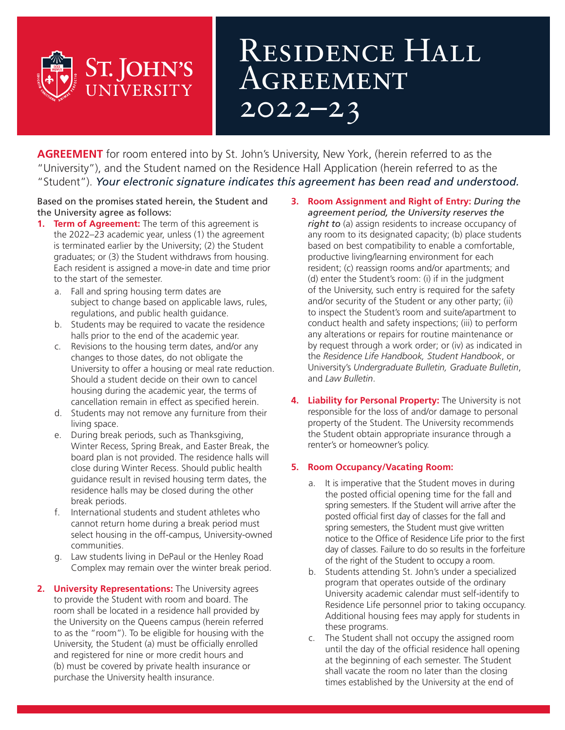## RESIDENCE HALL **AGREEMENT** 2022–23

**AGREEMENT** for room entered into by St. John's University, New York, (herein referred to as the "University"), and the Student named on the Residence Hall Application (herein referred to as the "Student"). *Your electronic signature indicates this agreement has been read and understood.*

#### Based on the promises stated herein, the Student and the University agree as follows:

**ST. JOHN'S** 

UNIVERSITY

- **1. Term of Agreement:** The term of this agreement is the 2022–23 academic year, unless (1) the agreement is terminated earlier by the University; (2) the Student graduates; or (3) the Student withdraws from housing. Each resident is assigned a move-in date and time prior to the start of the semester.
	- a. Fall and spring housing term dates are subject to change based on applicable laws, rules, regulations, and public health guidance.
	- b. Students may be required to vacate the residence halls prior to the end of the academic year.
	- c. Revisions to the housing term dates, and/or any changes to those dates, do not obligate the University to offer a housing or meal rate reduction. Should a student decide on their own to cancel housing during the academic year, the terms of cancellation remain in effect as specified herein.
	- d. Students may not remove any furniture from their living space.
	- e. During break periods, such as Thanksgiving, Winter Recess, Spring Break, and Easter Break, the board plan is not provided. The residence halls will close during Winter Recess. Should public health guidance result in revised housing term dates, the residence halls may be closed during the other break periods.
	- f. International students and student athletes who cannot return home during a break period must select housing in the off-campus, University-owned communities.
	- g. Law students living in DePaul or the Henley Road Complex may remain over the winter break period.
- **2. University Representations:** The University agrees to provide the Student with room and board. The room shall be located in a residence hall provided by the University on the Queens campus (herein referred to as the "room"). To be eligible for housing with the University, the Student (a) must be officially enrolled and registered for nine or more credit hours and (b) must be covered by private health insurance or purchase the University health insurance.
- **3. Room Assignment and Right of Entry:** *During the agreement period, the University reserves the right to* (a) assign residents to increase occupancy of any room to its designated capacity; (b) place students based on best compatibility to enable a comfortable, productive living/learning environment for each resident; (c) reassign rooms and/or apartments; and (d) enter the Student's room: (i) if in the judgment of the University, such entry is required for the safety and/or security of the Student or any other party; (ii) to inspect the Student's room and suite/apartment to conduct health and safety inspections; (iii) to perform any alterations or repairs for routine maintenance or by request through a work order; or (iv) as indicated in the *Residence Life Handbook, Student Handbook*, or University's *Undergraduate Bulletin, Graduate Bulletin*, and *Law Bulletin*.
- **4. Liability for Personal Property:** The University is not responsible for the loss of and/or damage to personal property of the Student. The University recommends the Student obtain appropriate insurance through a renter's or homeowner's policy.

### **5. Room Occupancy/Vacating Room:**

- a. It is imperative that the Student moves in during the posted official opening time for the fall and spring semesters. If the Student will arrive after the posted official first day of classes for the fall and spring semesters, the Student must give written notice to the Office of Residence Life prior to the first day of classes. Failure to do so results in the forfeiture of the right of the Student to occupy a room.
- b. Students attending St. John's under a specialized program that operates outside of the ordinary University academic calendar must self-identify to Residence Life personnel prior to taking occupancy. Additional housing fees may apply for students in these programs.
- c. The Student shall not occupy the assigned room until the day of the official residence hall opening at the beginning of each semester. The Student shall vacate the room no later than the closing times established by the University at the end of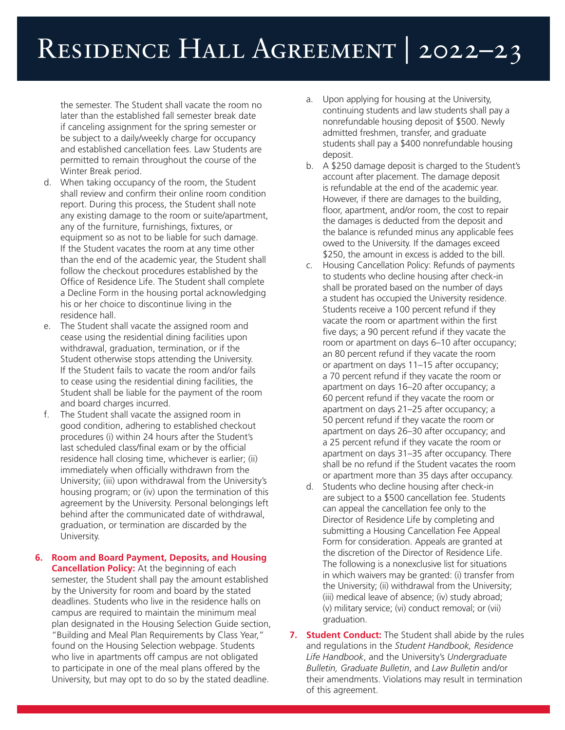## Residence Hall Agreement | 2022–23

the semester. The Student shall vacate the room no later than the established fall semester break date if canceling assignment for the spring semester or be subject to a daily/weekly charge for occupancy and established cancellation fees. Law Students are permitted to remain throughout the course of the Winter Break period.

- d. When taking occupancy of the room, the Student shall review and confirm their online room condition report. During this process, the Student shall note any existing damage to the room or suite/apartment, any of the furniture, furnishings, fixtures, or equipment so as not to be liable for such damage. If the Student vacates the room at any time other than the end of the academic year, the Student shall follow the checkout procedures established by the Office of Residence Life. The Student shall complete a Decline Form in the housing portal acknowledging his or her choice to discontinue living in the residence hall.
- e. The Student shall vacate the assigned room and cease using the residential dining facilities upon withdrawal, graduation, termination, or if the Student otherwise stops attending the University. If the Student fails to vacate the room and/or fails to cease using the residential dining facilities, the Student shall be liable for the payment of the room and board charges incurred.
- f. The Student shall vacate the assigned room in good condition, adhering to established checkout procedures (i) within 24 hours after the Student's last scheduled class/final exam or by the official residence hall closing time, whichever is earlier; (ii) immediately when officially withdrawn from the University; (iii) upon withdrawal from the University's housing program; or (iv) upon the termination of this agreement by the University. Personal belongings left behind after the communicated date of withdrawal, graduation, or termination are discarded by the University.
- **6. Room and Board Payment, Deposits, and Housing Cancellation Policy:** At the beginning of each semester, the Student shall pay the amount established by the University for room and board by the stated deadlines. Students who live in the residence halls on campus are required to maintain the minimum meal plan designated in the Housing Selection Guide section, "Building and Meal Plan Requirements by Class Year," found on the Housing Selection webpage. Students who live in apartments off campus are not obligated to participate in one of the meal plans offered by the University, but may opt to do so by the stated deadline.
- Upon applying for housing at the University, continuing students and law students shall pay a nonrefundable housing deposit of \$500. Newly admitted freshmen, transfer, and graduate students shall pay a \$400 nonrefundable housing deposit.
- b. A \$250 damage deposit is charged to the Student's account after placement. The damage deposit is refundable at the end of the academic year. However, if there are damages to the building, floor, apartment, and/or room, the cost to repair the damages is deducted from the deposit and the balance is refunded minus any applicable fees owed to the University. If the damages exceed \$250, the amount in excess is added to the bill.
- c. Housing Cancellation Policy: Refunds of payments to students who decline housing after check-in shall be prorated based on the number of days a student has occupied the University residence. Students receive a 100 percent refund if they vacate the room or apartment within the first five days; a 90 percent refund if they vacate the room or apartment on days 6–10 after occupancy; an 80 percent refund if they vacate the room or apartment on days 11–15 after occupancy; a 70 percent refund if they vacate the room or apartment on days 16–20 after occupancy; a 60 percent refund if they vacate the room or apartment on days 21–25 after occupancy; a 50 percent refund if they vacate the room or apartment on days 26–30 after occupancy; and a 25 percent refund if they vacate the room or apartment on days 31–35 after occupancy. There shall be no refund if the Student vacates the room or apartment more than 35 days after occupancy.
- d. Students who decline housing after check-in are subject to a \$500 cancellation fee. Students can appeal the cancellation fee only to the Director of Residence Life by completing and submitting a Housing Cancellation Fee Appeal Form for consideration. Appeals are granted at the discretion of the Director of Residence Life. The following is a nonexclusive list for situations in which waivers may be granted: (i) transfer from the University; (ii) withdrawal from the University; (iii) medical leave of absence; (iv) study abroad; (v) military service; (vi) conduct removal; or (vii) graduation.
- **7. Student Conduct:** The Student shall abide by the rules and regulations in the *Student Handbook, Residence Life Handbook*, and the University's *Undergraduate Bulletin, Graduate Bulletin*, and *Law Bulletin* and/or their amendments. Violations may result in termination of this agreement.